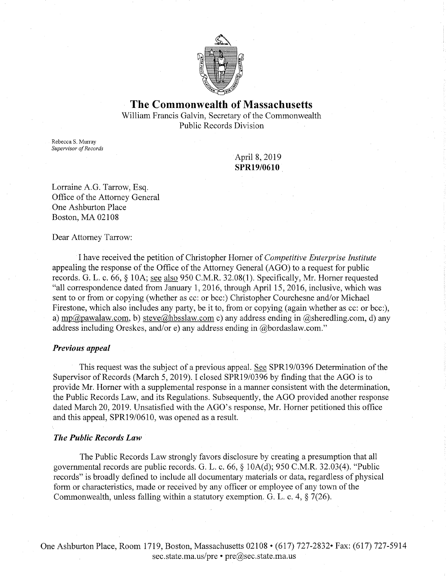

# **The Commonwealth of Massachusetts**

William Francis Galvin, Secretary of the Commonwealth Public Records Division

Rebecca S. Murray *Supervisor of Records* 

April 8, 2019 **SPR19/0610** 

Lorraine A.G. Tarrow, Esq. Office of the Attorney General One Ashburton Place Boston, MA 02108

Dear Attorney Tarrow:

I have received the petition of Christopher Horner of *Competitive Enterprise Institute*  appealing the response of the Office of the Attorney General (AGO) to a request for public records. G. L. c. 66, § lOA; see also 950 C.M.R. 32.08(1). Specifically, Mr. Horner requested "all correspondence dated from January 1, 2016, through April 15, 2016, inclusive, which was sent to or from or copying (whether as cc: or bee:) Christopher Courchesne and/or Michael Firestone, which also includes any party, be it to, from or copying (again whether as cc: or bcc:), a) mp@pawalaw.com, b) steve@hbsslaw.com c) any address ending in @sheredling.com, d) any address including Oreskes, and/ore) any address ending in @bordaslaw.com."

### *Previous appeal*

This request was the subject of a previous appeal. See SPR19/0396 Determination of the Supervisor of Records (March 5, 2019). I closed SPR19/0396 by finding that the AGO is to provide Mr. Homer with a supplemental response in a manner consistent with the determination, the Public Records Law, and its Regulations. Subsequently, the AGO provided another response dated March 20, 2019. Unsatisfied with the AGO's response, Mr. Homer petitioned this office and this appeal, SPR19/0610, was opened as a result.

### *The Public Records Law*

The Public Records Law strongly favors disclosure by creating a presumption that all governmental records are public records. G. L. c. 66, § lOA(d); 950 C.M.R. 32.03(4). "Public records" is broadly defined to include all documentary materials or data, regardless of physical form or characteristics, made or received by any officer or employee of any town of the Commonwealth, unless falling within a statutory exemption. G. L. c. 4, § 7(26).

One Ashburton Place, Room 1719, Boston, Massachusetts 02108 • (617) 727-2832• Fax: (617) 727-5914 sec.state.ma.us/pre • pre@sec.state.ma.us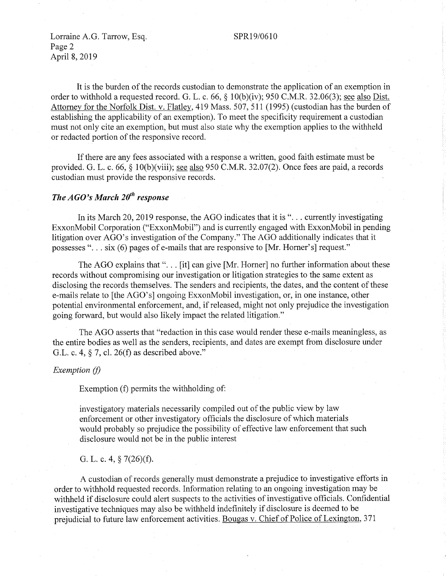### SPR19/06IO

Lorraine A.G. Tarrow, Esq. Page 2 April 8, 2019

It is the burden of the records custodian to demonstrate the application of an exemption in order to withhold a requested record. G. L. c. 66, § 10(b)(iv); 950 C.M.R. 32.06(3); <u>see also Dist.</u> Attorney for the Norfolk Dist. v. Flatley, 419 Mass. 507, 511 (1995) (custodian has the burden of establishing the applicability of an exemption). To meet the specificity requirement a custodian must not only cite an exemption, but must also state why the exemption applies to the withheld or redacted portion of the responsive record.

If there are any fees associated with a response a written, good faith estimate must be provided. G. L. c. 66,  $\S$  10(b)(viii); see also 950 C.M.R. 32.07(2). Once fees are paid, a records custodian must provide the responsive records.

## *The AGO's March 20th response*

In its March 20, 2019 response, the AGO indicates that it is "... currently investigating ExxonMobil Corporation ("ExxonMobil") and is currently engaged with ExxonMobil in pending litigation over AGO's investigation of the Company." The AGO additionally indicates that it possesses " $\ldots$  six (6) pages of e-mails that are responsive to [Mr. Horner's] request."

The AGO explains that " $\ldots$  [it] can give [Mr. Horner] no further information about these records without compromising our investigation or litigation strategies to the same extent as disclosing the records themselves. The senders and recipients, the dates, and the content of these e-mails relate to [the AGO's] ongoing ExxonMobil investigation, or, in one instance, other potential environmental enforcement, and, if released, might not only prejudice the investigation going forward, but would also likely impact the related litigation."

The AGO asserts that "redaction in this case would render these e-mails meaningless, as the entire bodies as well as the senders, recipients, and dates are exempt from disclosure urider G.L. c. 4, § 7, cl. 26(f) as described above."

### *Exemption (I)*

Exemption (f) permits the withholding of:

investigatory materials necessarily compiled out of the public view by law enforcement or other investigatory officials the disclosure of which materials would probably so prejudice the possibility of effective law enforcement that such disclosure would not be in the public interest

G. L. c. 4,  $\S$  7(26)(f).

A custodian of records generally must demonstrate a prejudice to investigative efforts in order to withhold requested records. Information relating to an ongoing investigation may be withheld if disclosure could alert suspects to the activities of investigative officials. Confidential investigative techniques may also be withheld indefinitely if disclosure is deemed to be prejudicial to future law enforcement activities. Bougas v. Chief of Police of Lexington, 371